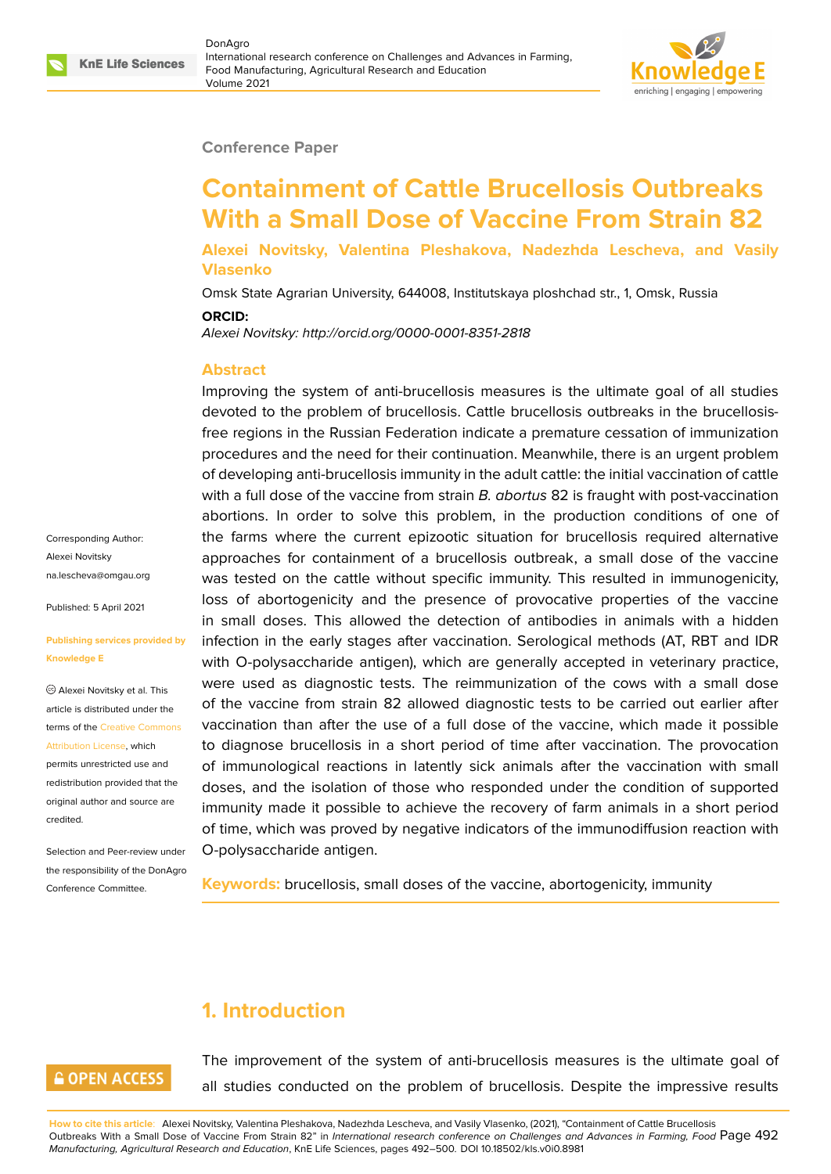#### **Conference Paper**

# **Containment of Cattle Brucellosis Outbreaks With a Small Dose of Vaccine From Strain 82**

**Alexei Novitsky, Valentina Pleshakova, Nadezhda Lescheva, and Vasily Vlasenko**

Omsk State Agrarian University, 644008, Institutskaya ploshchad str., 1, Omsk, Russia

**ORCID:**

*Alexei Novitsky: http://orcid.org/0000-0001-8351-2818*

#### **Abstract**

Improving the system of anti-brucellosis measures is the ultimate goal of all studies devoted to the problem of brucellosis. Cattle brucellosis outbreaks in the brucellosisfree regions in the Russian Federation indicate a premature cessation of immunization procedures and the need for their continuation. Meanwhile, there is an urgent problem of developing anti-brucellosis immunity in the adult cattle: the initial vaccination of cattle with a full dose of the vaccine from strain *B. abortus* 82 is fraught with post-vaccination abortions. In order to solve this problem, in the production conditions of one of the farms where the current epizootic situation for brucellosis required alternative approaches for containment of a brucellosis outbreak, a small dose of the vaccine was tested on the cattle without specific immunity. This resulted in immunogenicity, loss of abortogenicity and the presence of provocative properties of the vaccine in small doses. This allowed the detection of antibodies in animals with a hidden infection in the early stages after vaccination. Serological methods (AT, RBT and IDR with O-polysaccharide antigen), which are generally accepted in veterinary practice, were used as diagnostic tests. The reimmunization of the cows with a small dose of the vaccine from strain 82 allowed diagnostic tests to be carried out earlier after vaccination than after the use of a full dose of the vaccine, which made it possible to diagnose brucellosis in a short period of time after vaccination. The provocation of immunological reactions in latently sick animals after the vaccination with small doses, and the isolation of those who responded under the condition of supported immunity made it possible to achieve the recovery of farm animals in a short period of time, which was proved by negative indicators of the immunodiffusion reaction with O-polysaccharide antigen.

**Keywords:** brucellosis, small doses of the vaccine, abortogenicity, immunity

## **1. Introduction**

#### **GOPEN ACCESS**

The improvement of the system of anti-brucellosis measures is the ultimate goal of all studies conducted on the problem of brucellosis. Despite the impressive results

**How to cite this article**: Alexei Novitsky, Valentina Pleshakova, Nadezhda Lescheva, and Vasily Vlasenko, (2021), "Containment of Cattle Brucellosis Outbreaks With a Small Dose of Vaccine From Strain 82" in *International research conference on Challenges and Advances in Farming, Food* Page 492 *Manufacturing, Agricultural Research and Education*, KnE Life Sciences, pages 492–500. DOI 10.18502/kls.v0i0.8981

Corresponding Author: Alexei Novitsky na.lescheva@omgau.org

Published: 5 April 2021

#### **[Publishing services prov](mailto:na.lescheva@omgau.org)ided by Knowledge E**

Alexei Novitsky et al. This article is distributed under the terms of the Creative Commons Attribution License, which

permits unrestricted use and redistribution provided that the original auth[or and source are](https://creativecommons.org/licenses/by/4.0/) [credited.](https://creativecommons.org/licenses/by/4.0/)

Selection and Peer-review under the responsibility of the DonAgro Conference Committee.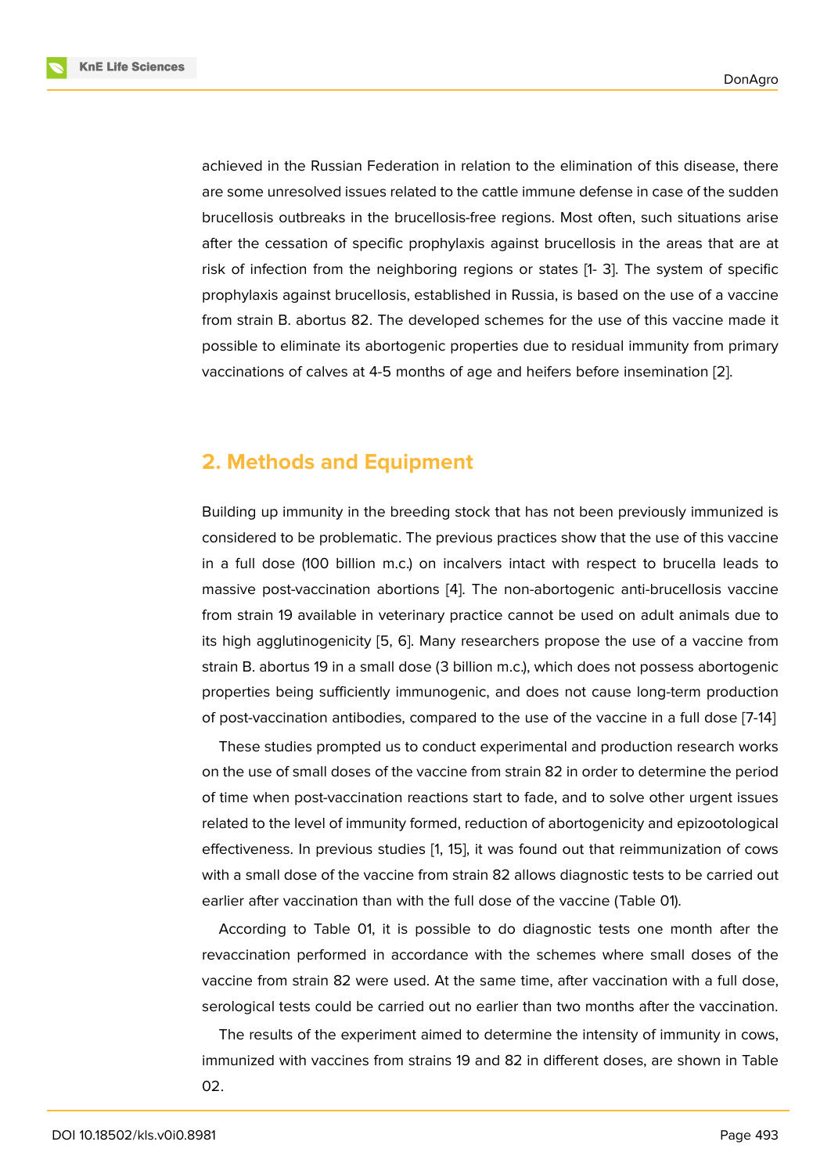achieved in the Russian Federation in relation to the elimination of this disease, there are some unresolved issues related to the cattle immune defense in case of the sudden brucellosis outbreaks in the brucellosis-free regions. Most often, such situations arise after the cessation of specific prophylaxis against brucellosis in the areas that are at risk of infection from the neighboring regions or states [1- 3]. The system of specific prophylaxis against brucellosis, established in Russia, is based on the use of a vaccine from strain B. abortus 82. The developed schemes for the use of this vaccine made it possible to eliminate its abortogenic properties due to residual immunity from primary vaccinations of calves at 4-5 months of age and heifers before insemination [2].

### **2. Methods and Equipment**

Building up immunity in the breeding stock that has not been previously immunized is considered to be problematic. The previous practices show that the use of this vaccine in a full dose (100 billion m.c.) on incalvers intact with respect to brucella leads to massive post-vaccination abortions [4]. The non-abortogenic anti-brucellosis vaccine from strain 19 available in veterinary practice cannot be used on adult animals due to its high agglutinogenicity [5, 6]. Many researchers propose the use of a vaccine from strain B. abortus 19 in a small dose ([3 b](#page-7-0)illion m.c.), which does not possess abortogenic properties being sufficiently immunogenic, and does not cause long-term production of post-vaccination antibo[die](#page-7-1)[s,](#page-7-2) compared to the use of the vaccine in a full dose [7-14]

These studies prompted us to conduct experimental and production research works on the use of small doses of the vaccine from strain 82 in order to determine the period of time when post-vaccination reactions start to fade, and to solve other urgent issues related to the level of immunity formed, reduction of abortogenicity and epizootological effectiveness. In previous studies [1, 15], it was found out that reimmunization of cows with a small dose of the vaccine from strain 82 allows diagnostic tests to be carried out earlier after vaccination than with the full dose of the vaccine (Table 01).

According to Table 01, it is po[s](#page-7-3)s[ible](#page-8-0) to do diagnostic tests one month after the revaccination performed in accordance with the schemes where small doses of the vaccine from strain 82 were used. At the same time, after vaccination with a full dose, serological tests could be carried out no earlier than two months after the vaccination.

The results of the experiment aimed to determine the intensity of immunity in cows, immunized with vaccines from strains 19 and 82 in different doses, are shown in Table 02.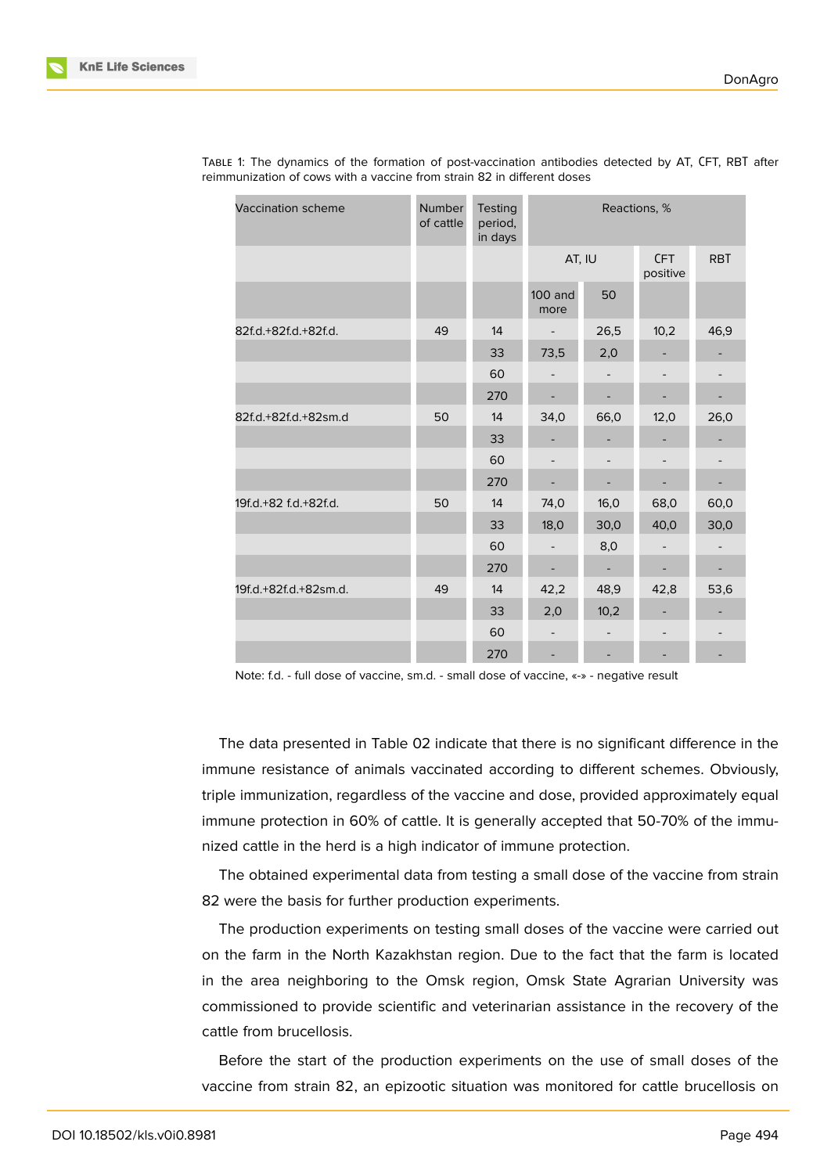| <b>Vaccination scheme</b> | Number<br>of cattle | Testing<br>period,<br>in days | Reactions, %             |                          |                          |                          |  |
|---------------------------|---------------------|-------------------------------|--------------------------|--------------------------|--------------------------|--------------------------|--|
|                           |                     |                               | AT, IU                   |                          | <b>CFT</b><br>positive   | <b>RBT</b>               |  |
|                           |                     |                               | $100$ and<br>50<br>more  |                          |                          |                          |  |
| 82f.d.+82f.d.+82f.d.      | 49                  | 14                            | 26,5                     |                          | 10,2                     | 46,9                     |  |
|                           |                     | 33                            | 73,5                     | 2,0                      |                          |                          |  |
|                           |                     | 60                            |                          |                          |                          |                          |  |
|                           |                     | 270                           | $\frac{1}{2}$            | $\overline{\phantom{a}}$ | $\overline{\phantom{a}}$ |                          |  |
| 82f.d.+82f.d.+82sm.d      | 50                  | 14                            | 34,0                     | 66,0                     | 12,0                     | 26,0                     |  |
|                           |                     | 33                            |                          |                          |                          |                          |  |
|                           |                     | 60                            | $\overline{a}$           |                          |                          |                          |  |
|                           |                     | 270                           |                          |                          |                          |                          |  |
| 19f.d.+82 f.d.+82f.d.     | 50                  | 14                            | 74,0                     | 16,0                     | 68,0                     | 60,0                     |  |
|                           |                     | 33                            | 18,0                     | 30,0                     | 40,0                     | 30,0                     |  |
|                           |                     | 60                            | $\overline{\phantom{a}}$ | 8,0                      |                          |                          |  |
|                           |                     | 270                           | $\overline{\phantom{0}}$ | $\overline{\phantom{a}}$ | $\overline{\phantom{a}}$ | $\overline{\phantom{a}}$ |  |
| 19f.d.+82f.d.+82sm.d.     | 49                  | 14                            | 42,2                     | 48,9                     | 42,8                     | 53,6                     |  |
|                           |                     | 33                            | 2,0                      | 10,2                     |                          |                          |  |
|                           |                     | 60                            | $\overline{a}$           | $\overline{\phantom{0}}$ |                          |                          |  |
|                           |                     | 270                           | $\overline{a}$           |                          |                          |                          |  |

TABLE 1: The dynamics of the formation of post-vaccination antibodies detected by AT, СFT, RBТ after reimmunization of cows with a vaccine from strain 82 in different doses

Note: f.d. - full dose of vaccine, sm.d. - small dose of vaccine, «-» - negative result

The data presented in Table 02 indicate that there is no significant difference in the immune resistance of animals vaccinated according to different schemes. Obviously, triple immunization, regardless of the vaccine and dose, provided approximately equal immune protection in 60% of cattle. It is generally accepted that 50-70% of the immunized cattle in the herd is a high indicator of immune protection.

The obtained experimental data from testing a small dose of the vaccine from strain 82 were the basis for further production experiments.

The production experiments on testing small doses of the vaccine were carried out on the farm in the North Kazakhstan region. Due to the fact that the farm is located in the area neighboring to the Omsk region, Omsk State Agrarian University was commissioned to provide scientific and veterinarian assistance in the recovery of the cattle from brucellosis.

Before the start of the production experiments on the use of small doses of the vaccine from strain 82, an epizootic situation was monitored for cattle brucellosis on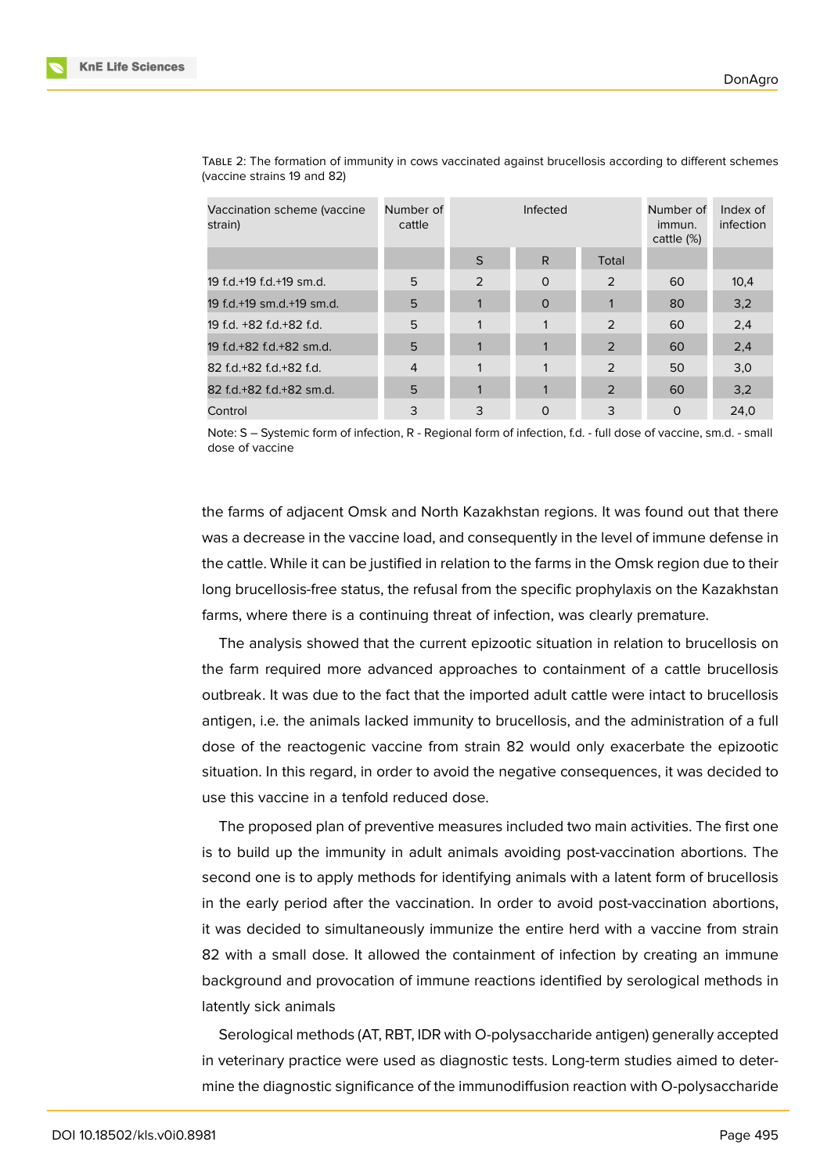| Vaccination scheme (vaccine<br>strain) | Number of<br>cattle |              | Infected     | Number of<br>immun.<br>cattle $(\%)$ | Index of<br>infection |      |
|----------------------------------------|---------------------|--------------|--------------|--------------------------------------|-----------------------|------|
|                                        |                     | <sub>S</sub> | R.           | Total                                |                       |      |
| 19 f.d.+19 f.d.+19 sm.d.               | 5                   | 2            | $\circ$      | 2                                    | 60                    | 10,4 |
| 19 f.d.+19 sm.d.+19 sm.d.              | 5                   | $\mathbf{1}$ | $\mathbf{O}$ |                                      | 80                    | 3,2  |
| 19 f.d. +82 f.d. +82 f.d.              | 5                   |              |              | 2                                    | 60                    | 2,4  |
| 19 f.d.+82 f.d.+82 sm.d.               | 5                   | 1            |              | 2                                    | 60                    | 2,4  |
| 82 f.d.+82 f.d.+82 f.d.                | $\overline{4}$      |              |              | $\mathcal{P}$                        | 50                    | 3,0  |
| 82 f.d.+82 f.d.+82 sm.d.               | 5                   | $\mathbf{1}$ | 1            | 2                                    | 60                    | 3,2  |
| Control                                | 3                   | 3            | 0            | 3                                    | $\circ$               | 24.0 |

TABLE 2: The formation of immunity in cows vaccinated against brucellosis according to different schemes (vaccine strains 19 and 82)

Note: S – Systemic form of infection, R - Regional form of infection, f.d. - full dose of vaccine, sm.d. - small dose of vaccine

the farms of adjacent Omsk and North Kazakhstan regions. It was found out that there was a decrease in the vaccine load, and consequently in the level of immune defense in the cattle. While it can be justified in relation to the farms in the Omsk region due to their long brucellosis-free status, the refusal from the specific prophylaxis on the Kazakhstan farms, where there is a continuing threat of infection, was clearly premature.

The analysis showed that the current epizootic situation in relation to brucellosis on the farm required more advanced approaches to containment of a cattle brucellosis outbreak. It was due to the fact that the imported adult cattle were intact to brucellosis antigen, i.e. the animals lacked immunity to brucellosis, and the administration of a full dose of the reactogenic vaccine from strain 82 would only exacerbate the epizootic situation. In this regard, in order to avoid the negative consequences, it was decided to use this vaccine in a tenfold reduced dose.

The proposed plan of preventive measures included two main activities. The first one is to build up the immunity in adult animals avoiding post-vaccination abortions. The second one is to apply methods for identifying animals with a latent form of brucellosis in the early period after the vaccination. In order to avoid post-vaccination abortions, it was decided to simultaneously immunize the entire herd with a vaccine from strain 82 with a small dose. It allowed the containment of infection by creating an immune background and provocation of immune reactions identified by serological methods in latently sick animals

Serological methods (AT, RBT, IDR with O-polysaccharide antigen) generally accepted in veterinary practice were used as diagnostic tests. Long-term studies aimed to determine the diagnostic significance of the immunodiffusion reaction with O-polysaccharide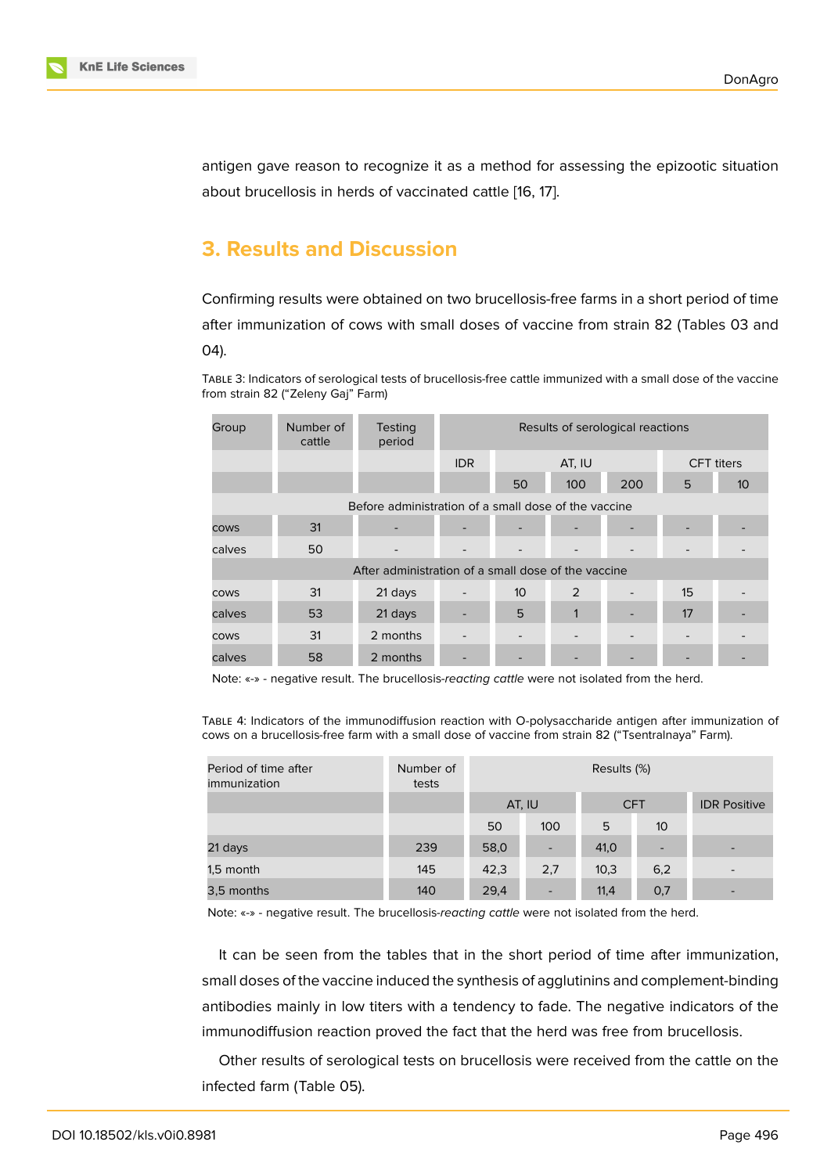antigen gave reason to recognize it as a method for assessing the epizootic situation about brucellosis in herds of vaccinated cattle [16, 17].

### **3. Results and Discussion**

Confirming results were obtained on two brucellosis-free farms in a short period of time after immunization of cows with small doses of vaccine from strain 82 (Tables 03 and 04).

TABLE 3: Indicators of serological tests of brucellosis-free cattle immunized with a small dose of the vaccine from strain 82 ("Zeleny Gaj" Farm)

| Group                                                | Number of<br>cattle | <b>Testing</b><br>period                            | Results of serological reactions |                 |        |                   |    |                 |  |  |
|------------------------------------------------------|---------------------|-----------------------------------------------------|----------------------------------|-----------------|--------|-------------------|----|-----------------|--|--|
|                                                      |                     |                                                     | IDR.                             |                 | AT, IU | <b>CFT</b> titers |    |                 |  |  |
|                                                      |                     |                                                     |                                  | 50              | 100    | 200               | 5  | 10 <sup>°</sup> |  |  |
| Before administration of a small dose of the vaccine |                     |                                                     |                                  |                 |        |                   |    |                 |  |  |
| <b>COWS</b>                                          | 31                  |                                                     |                                  |                 |        |                   |    |                 |  |  |
| calves                                               | 50                  |                                                     |                                  |                 |        |                   |    |                 |  |  |
|                                                      |                     | After administration of a small dose of the vaccine |                                  |                 |        |                   |    |                 |  |  |
| <b>COWS</b>                                          | 31                  | 21 days                                             |                                  | 10 <sup>°</sup> | 2      |                   | 15 |                 |  |  |
| calves                                               | 53                  | 21 days                                             |                                  | 5               |        |                   | 17 |                 |  |  |
| <b>COWS</b>                                          | 31                  | 2 months                                            |                                  |                 |        |                   |    |                 |  |  |
| calves                                               | 58                  | 2 months                                            |                                  |                 |        |                   |    |                 |  |  |

Note: «-» - negative result. The brucellosis-*reacting cattle* were not isolated from the herd.

TABLE 4: Indicators of the immunodiffusion reaction with O-polysaccharide antigen after immunization of cows on a brucellosis-free farm with a small dose of vaccine from strain 82 ("Tsentralnaya" Farm).

| Period of time after<br><i>immunization</i> | Number of<br>tests | Results (%) |                          |            |     |                          |  |  |  |
|---------------------------------------------|--------------------|-------------|--------------------------|------------|-----|--------------------------|--|--|--|
|                                             |                    |             | AT, IU                   | <b>CFT</b> |     | <b>IDR Positive</b>      |  |  |  |
|                                             |                    | 50          | 100                      | 5          | 10  |                          |  |  |  |
| 21 days                                     | 239                | 58,0        | $\overline{\phantom{a}}$ | 41,0       |     | $\overline{\phantom{0}}$ |  |  |  |
| 1,5 month                                   | 145                | 42,3        | 2,7                      | 10,3       | 6,2 | $\overline{\phantom{a}}$ |  |  |  |
| 3,5 months                                  | 140                | 29,4        | $\overline{\phantom{a}}$ | 11,4       | 0,7 | -                        |  |  |  |

Note: «-» - negative result. The brucellosis-*reacting cattle* were not isolated from the herd.

It can be seen from the tables that in the short period of time after immunization, small doses of the vaccine induced the synthesis of agglutinins and complement-binding antibodies mainly in low titers with a tendency to fade. The negative indicators of the immunodiffusion reaction proved the fact that the herd was free from brucellosis.

Other results of serological tests on brucellosis were received from the cattle on the infected farm (Table 05).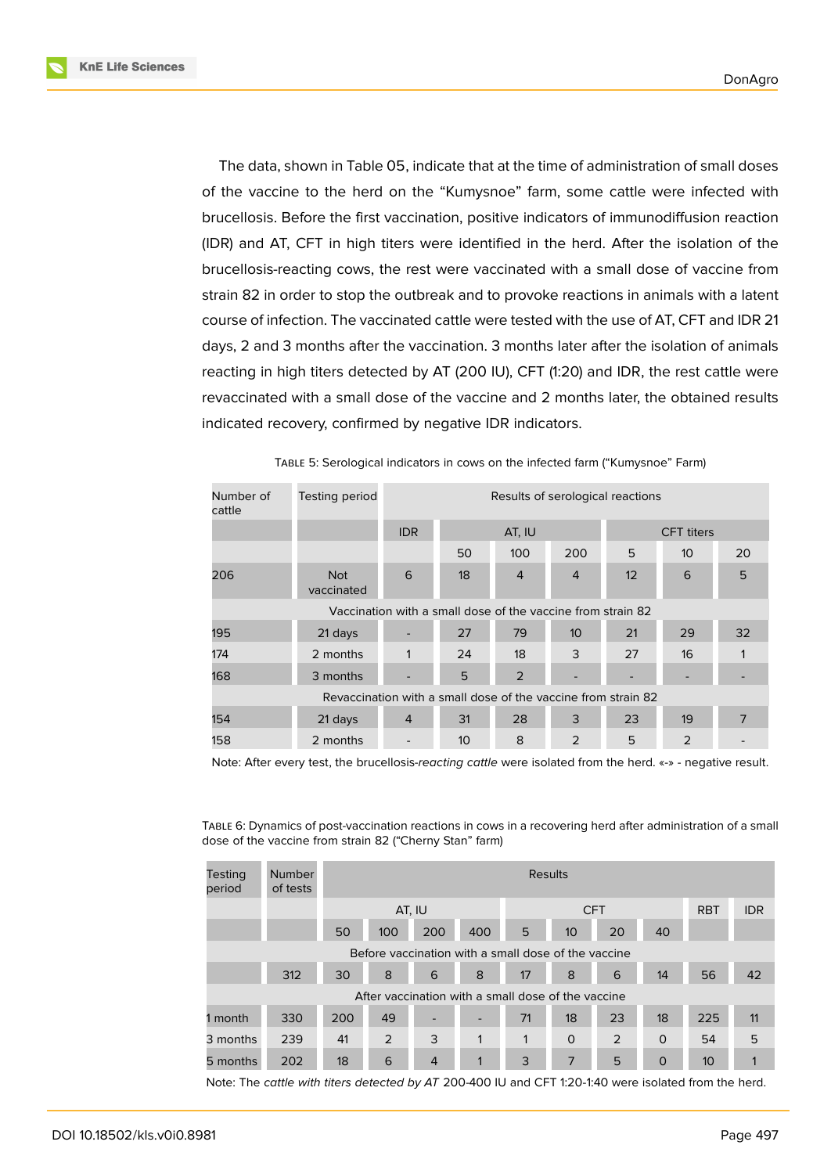**KnE Life Sciences** 

The data, shown in Table 05, indicate that at the time of administration of small doses of the vaccine to the herd on the "Kumysnoe" farm, some cattle were infected with brucellosis. Before the first vaccination, positive indicators of immunodiffusion reaction (IDR) and AT, CFT in high titers were identified in the herd. After the isolation of the brucellosis-reacting cows, the rest were vaccinated with a small dose of vaccine from strain 82 in order to stop the outbreak and to provoke reactions in animals with a latent course of infection. The vaccinated cattle were tested with the use of AT, CFT and IDR 21 days, 2 and 3 months after the vaccination. 3 months later after the isolation of animals reacting in high titers detected by AT (200 IU), CFT (1:20) and IDR, the rest cattle were revaccinated with a small dose of the vaccine and 2 months later, the obtained results indicated recovery, confirmed by negative IDR indicators.

| Number of<br>cattle                                           | Testing period           | Results of serological reactions |    |                                                             |                   |    |                 |    |  |  |
|---------------------------------------------------------------|--------------------------|----------------------------------|----|-------------------------------------------------------------|-------------------|----|-----------------|----|--|--|
|                                                               |                          | <b>IDR</b>                       |    | AT, IU                                                      | <b>CFT</b> titers |    |                 |    |  |  |
|                                                               |                          |                                  | 50 | 100                                                         | 200               | 5  | 10 <sup>°</sup> | 20 |  |  |
| 206                                                           | <b>Not</b><br>vaccinated | 6                                | 18 | $\overline{4}$                                              | $\overline{4}$    | 12 | 6               | 5  |  |  |
|                                                               |                          |                                  |    | Vaccination with a small dose of the vaccine from strain 82 |                   |    |                 |    |  |  |
| 195                                                           | 21 days                  |                                  | 27 | 79                                                          | 10 <sup>°</sup>   | 21 | 29              | 32 |  |  |
| 174                                                           | 2 months                 | 1                                | 24 | 18                                                          | 3                 | 27 | 16              |    |  |  |
| 168                                                           | 3 months                 |                                  | 5  | $\overline{2}$                                              |                   |    |                 |    |  |  |
| Revaccination with a small dose of the vaccine from strain 82 |                          |                                  |    |                                                             |                   |    |                 |    |  |  |
| 154                                                           | 21 days                  | 4                                | 31 | 28                                                          | 3                 | 23 | 19              | 7  |  |  |
| 158                                                           | 2 months                 |                                  | 10 | 8                                                           | 2                 | 5  | 2               |    |  |  |

TABLE 5: Serological indicators in cows on the infected farm ("Kumysnoe" Farm)

Note: After every test, the brucellosis-*reacting cattle* were isolated from the herd. «-» - negative result.

TABLE 6: Dynamics of post-vaccination reactions in cows in a recovering herd after administration of a small dose of the vaccine from strain 82 ("Cherny Stan" farm)

| <b>Testing</b><br>period                            | <b>Number</b><br>of tests |        | Results |     |              |            |                  |    |             |                 |            |
|-----------------------------------------------------|---------------------------|--------|---------|-----|--------------|------------|------------------|----|-------------|-----------------|------------|
|                                                     |                           | AT, IU |         |     |              | <b>CFT</b> |                  |    |             | <b>RBT</b>      | <b>IDR</b> |
|                                                     |                           | 50     | 100     | 200 | 400          | 5          | 10 <sup>10</sup> | 20 | 40          |                 |            |
| Before vaccination with a small dose of the vaccine |                           |        |         |     |              |            |                  |    |             |                 |            |
|                                                     | 312                       | 30     | 8       | 6   | 8            | 17         | 8                | 6  | 14          | 56              | 42         |
| After vaccination with a small dose of the vaccine  |                           |        |         |     |              |            |                  |    |             |                 |            |
| 1 month                                             | 330                       | 200    | 49      |     | -            | 71         | 18               | 23 | 18          | 225             | 11         |
| 3 months                                            | 239                       | 41     | 2       | 3   | $\mathbf{1}$ | 1          | $\Omega$         | 2  | $\Omega$    | 54              | 5          |
| 5 months                                            | 202                       | 18     | 6       | 4   | 1            | 3          | 7                | 5  | $\mathbf 0$ | 10 <sup>°</sup> |            |

Note: The *cattle with titers detected by AT* 200-400 IU and CFT 1:20-1:40 were isolated from the herd.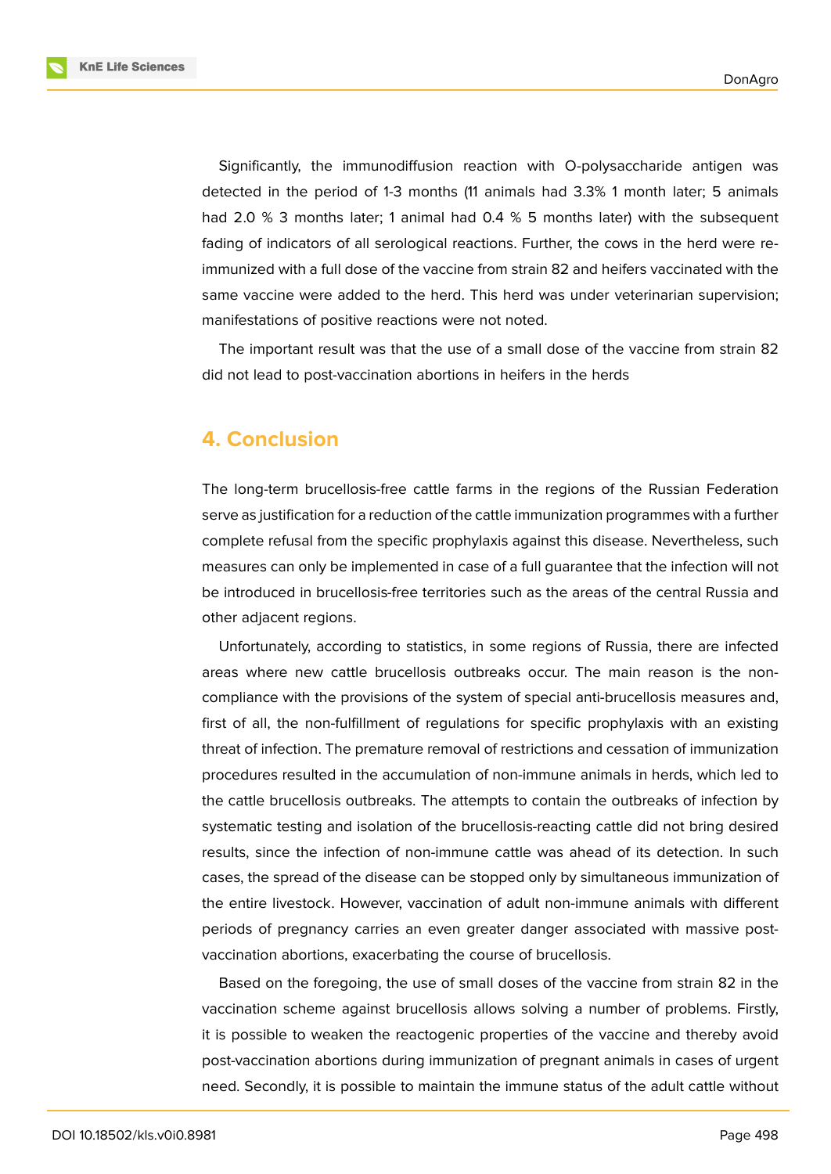Significantly, the immunodiffusion reaction with O-polysaccharide antigen was detected in the period of 1-3 months (11 animals had 3.3% 1 month later; 5 animals had 2.0 % 3 months later; 1 animal had 0.4 % 5 months later) with the subsequent fading of indicators of all serological reactions. Further, the cows in the herd were reimmunized with a full dose of the vaccine from strain 82 and heifers vaccinated with the same vaccine were added to the herd. This herd was under veterinarian supervision; manifestations of positive reactions were not noted.

The important result was that the use of a small dose of the vaccine from strain 82 did not lead to post-vaccination abortions in heifers in the herds

### **4. Conclusion**

The long-term brucellosis-free cattle farms in the regions of the Russian Federation serve as justification for a reduction of the cattle immunization programmes with a further complete refusal from the specific prophylaxis against this disease. Nevertheless, such measures can only be implemented in case of a full guarantee that the infection will not be introduced in brucellosis-free territories such as the areas of the central Russia and other adjacent regions.

Unfortunately, according to statistics, in some regions of Russia, there are infected areas where new cattle brucellosis outbreaks occur. The main reason is the noncompliance with the provisions of the system of special anti-brucellosis measures and, first of all, the non-fulfillment of regulations for specific prophylaxis with an existing threat of infection. The premature removal of restrictions and cessation of immunization procedures resulted in the accumulation of non-immune animals in herds, which led to the cattle brucellosis outbreaks. The attempts to contain the outbreaks of infection by systematic testing and isolation of the brucellosis-reacting cattle did not bring desired results, since the infection of non-immune cattle was ahead of its detection. In such cases, the spread of the disease can be stopped only by simultaneous immunization of the entire livestock. However, vaccination of adult non-immune animals with different periods of pregnancy carries an even greater danger associated with massive postvaccination abortions, exacerbating the course of brucellosis.

Based on the foregoing, the use of small doses of the vaccine from strain 82 in the vaccination scheme against brucellosis allows solving a number of problems. Firstly, it is possible to weaken the reactogenic properties of the vaccine and thereby avoid post-vaccination abortions during immunization of pregnant animals in cases of urgent need. Secondly, it is possible to maintain the immune status of the adult cattle without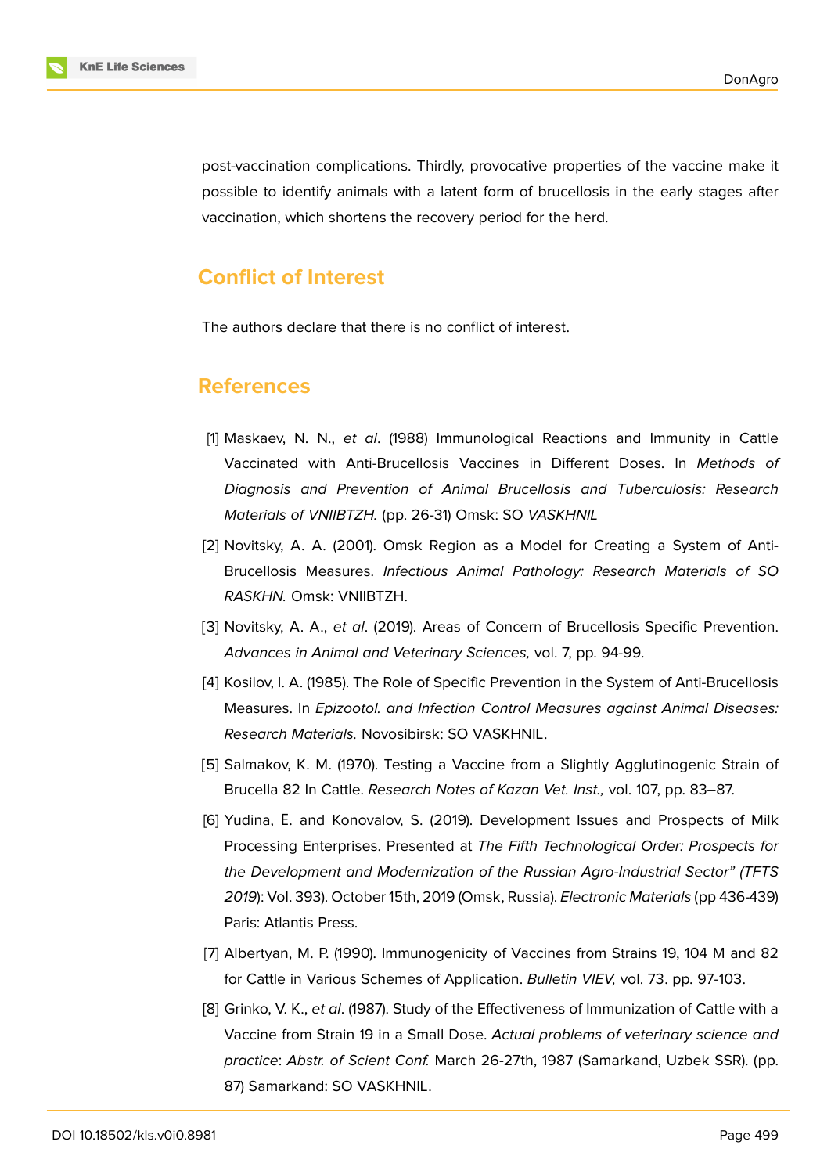

post-vaccination complications. Thirdly, provocative properties of the vaccine make it possible to identify animals with a latent form of brucellosis in the early stages after vaccination, which shortens the recovery period for the herd.

### **Conflict of Interest**

The authors declare that there is no conflict of interest.

#### **References**

- <span id="page-7-3"></span>[1] Maskaev, N. N., *et al*. (1988) Immunological Reactions and Immunity in Cattle Vaccinated with Anti-Brucellosis Vaccines in Different Doses. In *Methods of Diagnosis and Prevention of Animal Brucellosis and Tuberculosis: Research Materials of VNIIBTZH.* (pp. 26-31) Omsk: SO *VASKHNIL*
- [2] Novitsky, A. A. (2001). Omsk Region as a Model for Creating a System of Anti-Brucellosis Measures. *Infectious Animal Pathology: Research Materials of SO RASKHN.* Omsk: VNIIBTZH.
- [3] Novitsky, A. A., *et al*. (2019). Areas of Concern of Brucellosis Specific Prevention. *Advances in Animal and Veterinary Sciences,* vol. 7, pp. 94-99.
- <span id="page-7-0"></span>[4] Kosilov, I. A. (1985). The Role of Specific Prevention in the System of Anti-Brucellosis Measures. In *Epizootol. and Infection Control Measures against Animal Diseases: Research Materials.* Novosibirsk: SO VASKHNIL.
- <span id="page-7-1"></span>[5] Salmakov, K. M. (1970). Testing a Vaccine from a Slightly Agglutinogenic Strain of Brucella 82 In Cattle. *Research Notes of Kazan Vet. Inst.,* vol. 107, pp. 83–87.
- <span id="page-7-2"></span>[6] Yudina, Е. and Konovalov, S. (2019). Development Issues and Prospects of Milk Processing Enterprises. Presented at *The Fifth Technological Order: Prospects for the Development and Modernization of the Russian Agro-Industrial Sector" (TFTS 2019*): Vol. 393). October 15th, 2019 (Omsk, Russia). *Electronic Materials* (pp 436-439) Paris: Atlantis Press.
- [7] Albertyan, M. P. (1990). Immunogenicity of Vaccines from Strains 19, 104 M and 82 for Cattle in Various Schemes of Application. *Bulletin VIEV,* vol. 73. pp. 97-103.
- [8] Grinko, V. K., *et al*. (1987). Study of the Effectiveness of Immunization of Cattle with a Vaccine from Strain 19 in a Small Dose. *Actual problems of veterinary science and practice*: *Abstr. of Scient Conf.* March 26-27th, 1987 (Samarkand, Uzbek SSR). (pp. 87) Samarkand: SO VASKHNIL.